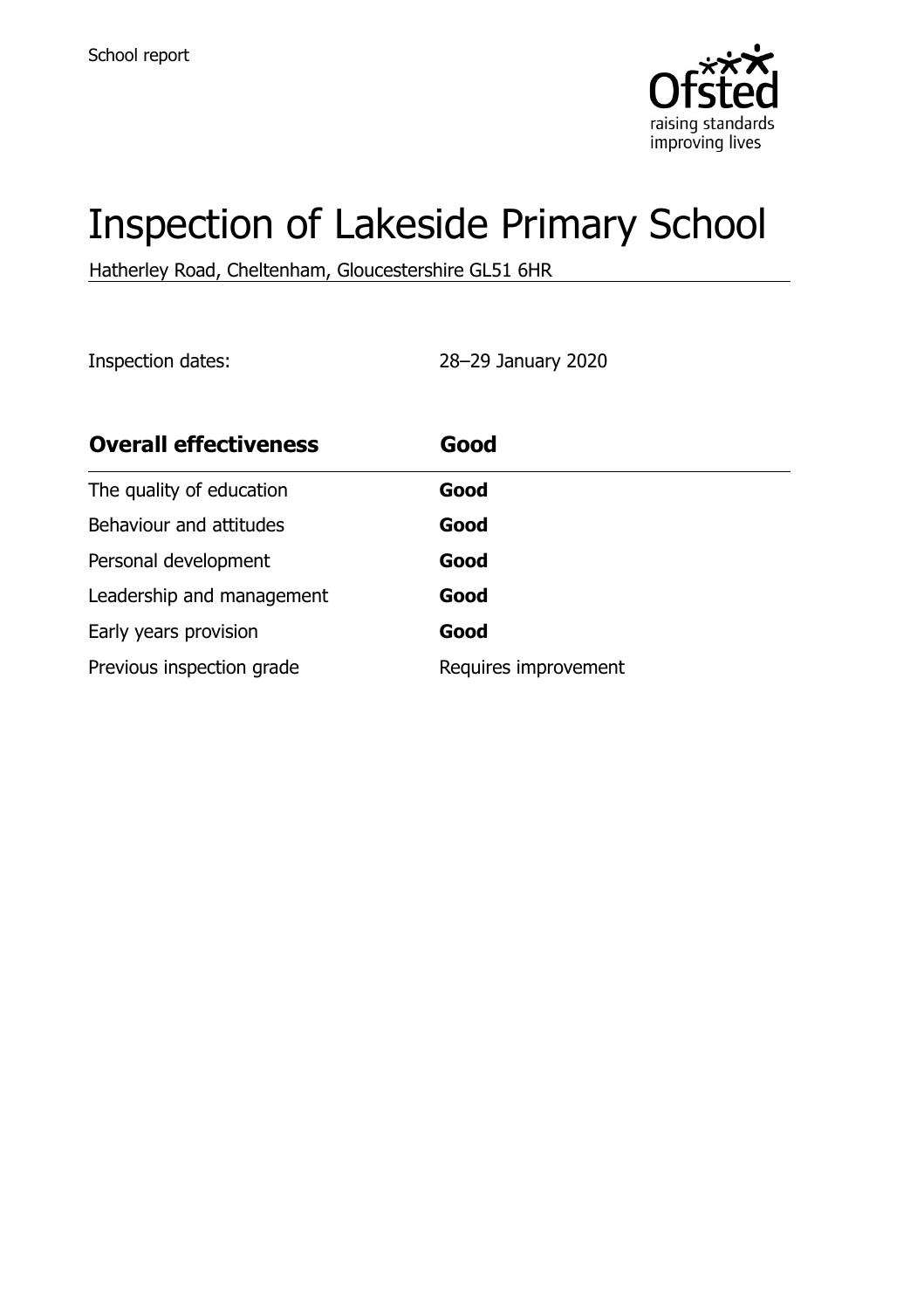

# Inspection of Lakeside Primary School

Hatherley Road, Cheltenham, Gloucestershire GL51 6HR

Inspection dates: 28–29 January 2020

| <b>Overall effectiveness</b> | Good                 |
|------------------------------|----------------------|
| The quality of education     | Good                 |
| Behaviour and attitudes      | Good                 |
| Personal development         | Good                 |
| Leadership and management    | Good                 |
| Early years provision        | Good                 |
| Previous inspection grade    | Requires improvement |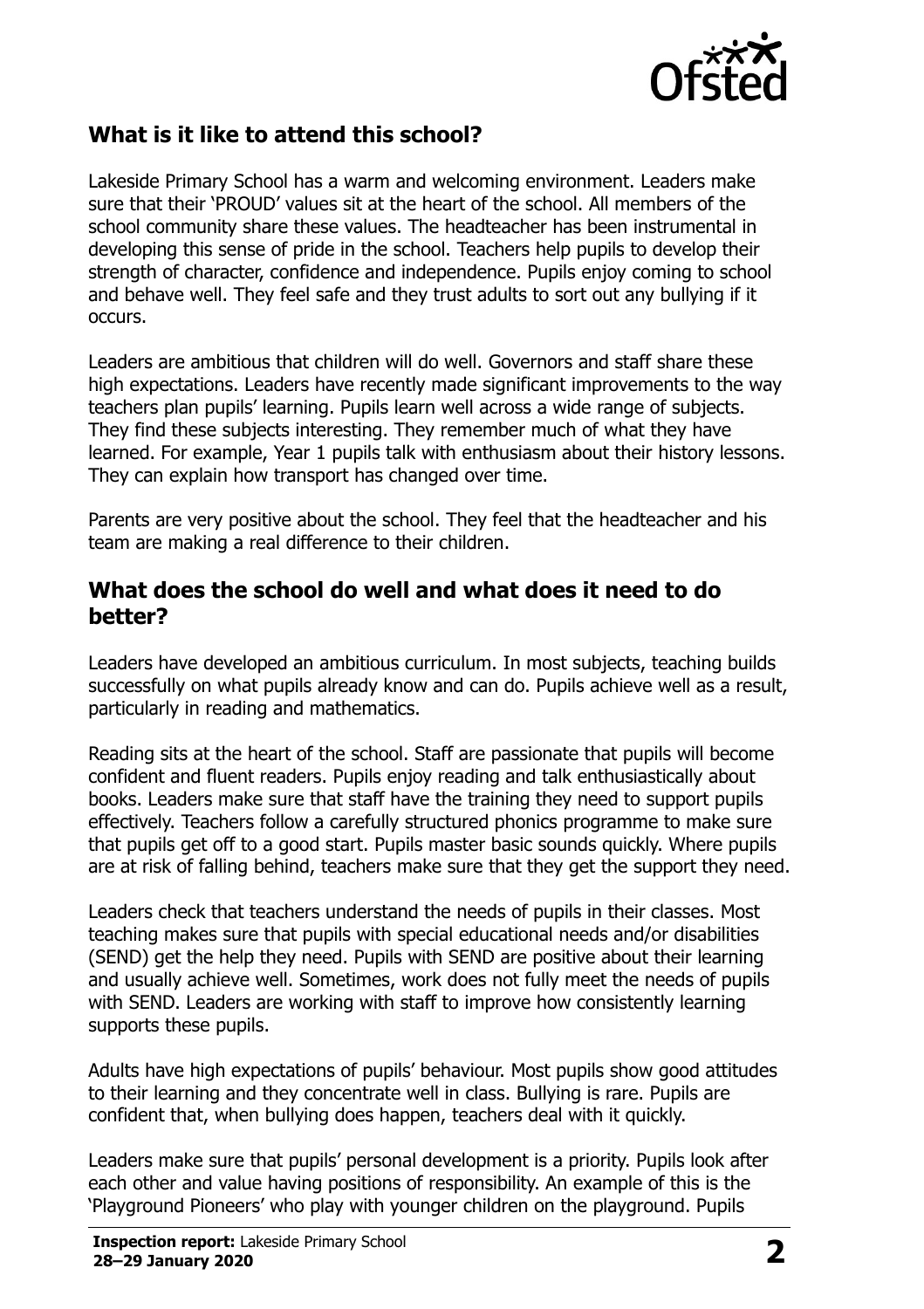

## **What is it like to attend this school?**

Lakeside Primary School has a warm and welcoming environment. Leaders make sure that their 'PROUD' values sit at the heart of the school. All members of the school community share these values. The headteacher has been instrumental in developing this sense of pride in the school. Teachers help pupils to develop their strength of character, confidence and independence. Pupils enjoy coming to school and behave well. They feel safe and they trust adults to sort out any bullying if it occurs.

Leaders are ambitious that children will do well. Governors and staff share these high expectations. Leaders have recently made significant improvements to the way teachers plan pupils' learning. Pupils learn well across a wide range of subjects. They find these subjects interesting. They remember much of what they have learned. For example, Year 1 pupils talk with enthusiasm about their history lessons. They can explain how transport has changed over time.

Parents are very positive about the school. They feel that the headteacher and his team are making a real difference to their children.

#### **What does the school do well and what does it need to do better?**

Leaders have developed an ambitious curriculum. In most subjects, teaching builds successfully on what pupils already know and can do. Pupils achieve well as a result, particularly in reading and mathematics.

Reading sits at the heart of the school. Staff are passionate that pupils will become confident and fluent readers. Pupils enjoy reading and talk enthusiastically about books. Leaders make sure that staff have the training they need to support pupils effectively. Teachers follow a carefully structured phonics programme to make sure that pupils get off to a good start. Pupils master basic sounds quickly. Where pupils are at risk of falling behind, teachers make sure that they get the support they need.

Leaders check that teachers understand the needs of pupils in their classes. Most teaching makes sure that pupils with special educational needs and/or disabilities (SEND) get the help they need. Pupils with SEND are positive about their learning and usually achieve well. Sometimes, work does not fully meet the needs of pupils with SEND. Leaders are working with staff to improve how consistently learning supports these pupils.

Adults have high expectations of pupils' behaviour. Most pupils show good attitudes to their learning and they concentrate well in class. Bullying is rare. Pupils are confident that, when bullying does happen, teachers deal with it quickly.

Leaders make sure that pupils' personal development is a priority. Pupils look after each other and value having positions of responsibility. An example of this is the 'Playground Pioneers' who play with younger children on the playground. Pupils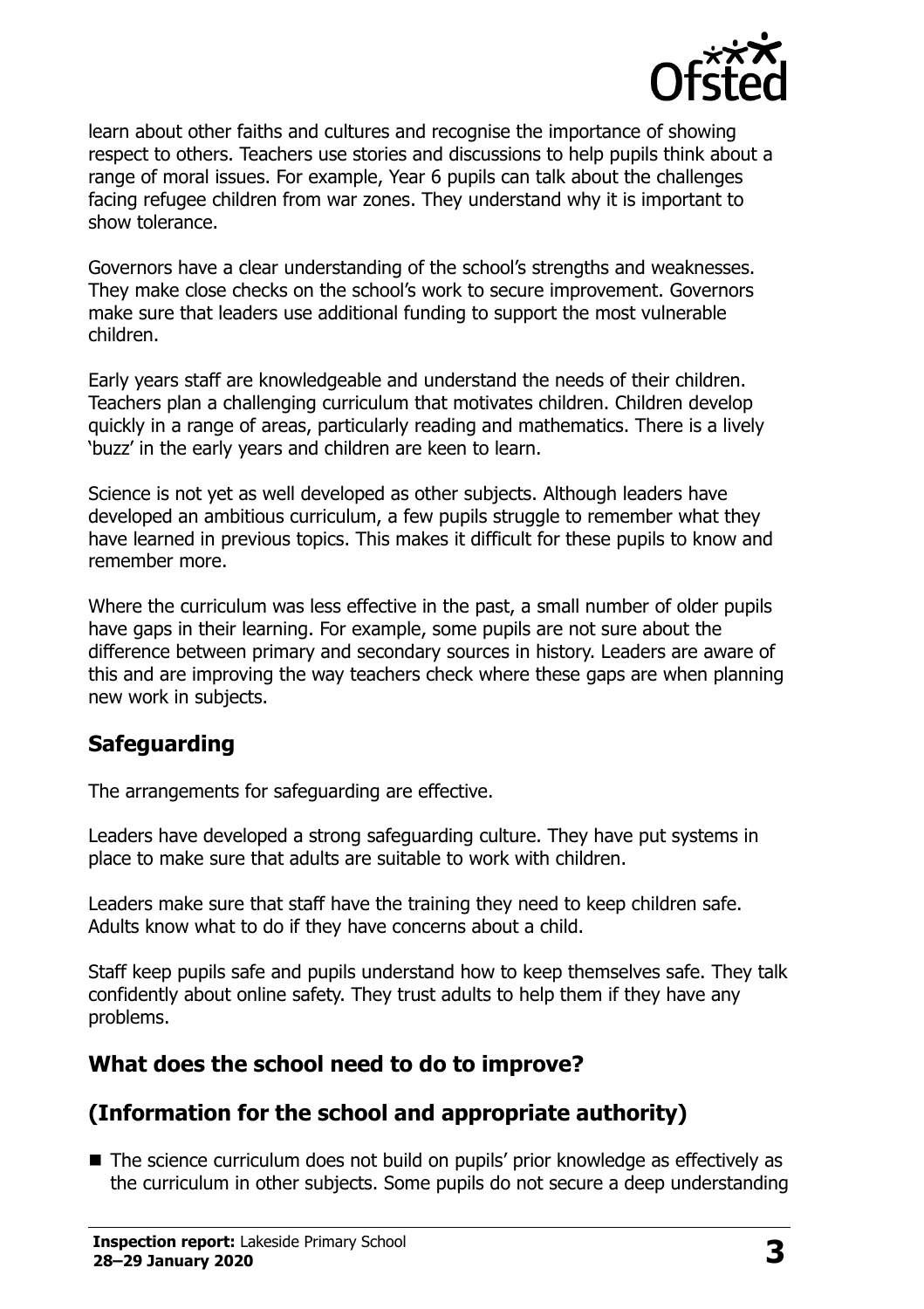

learn about other faiths and cultures and recognise the importance of showing respect to others. Teachers use stories and discussions to help pupils think about a range of moral issues. For example, Year 6 pupils can talk about the challenges facing refugee children from war zones. They understand why it is important to show tolerance.

Governors have a clear understanding of the school's strengths and weaknesses. They make close checks on the school's work to secure improvement. Governors make sure that leaders use additional funding to support the most vulnerable children.

Early years staff are knowledgeable and understand the needs of their children. Teachers plan a challenging curriculum that motivates children. Children develop quickly in a range of areas, particularly reading and mathematics. There is a lively 'buzz' in the early years and children are keen to learn.

Science is not yet as well developed as other subjects. Although leaders have developed an ambitious curriculum, a few pupils struggle to remember what they have learned in previous topics. This makes it difficult for these pupils to know and remember more.

Where the curriculum was less effective in the past, a small number of older pupils have gaps in their learning. For example, some pupils are not sure about the difference between primary and secondary sources in history. Leaders are aware of this and are improving the way teachers check where these gaps are when planning new work in subjects.

### **Safeguarding**

The arrangements for safeguarding are effective.

Leaders have developed a strong safeguarding culture. They have put systems in place to make sure that adults are suitable to work with children.

Leaders make sure that staff have the training they need to keep children safe. Adults know what to do if they have concerns about a child.

Staff keep pupils safe and pupils understand how to keep themselves safe. They talk confidently about online safety. They trust adults to help them if they have any problems.

## **What does the school need to do to improve?**

## **(Information for the school and appropriate authority)**

■ The science curriculum does not build on pupils' prior knowledge as effectively as the curriculum in other subjects. Some pupils do not secure a deep understanding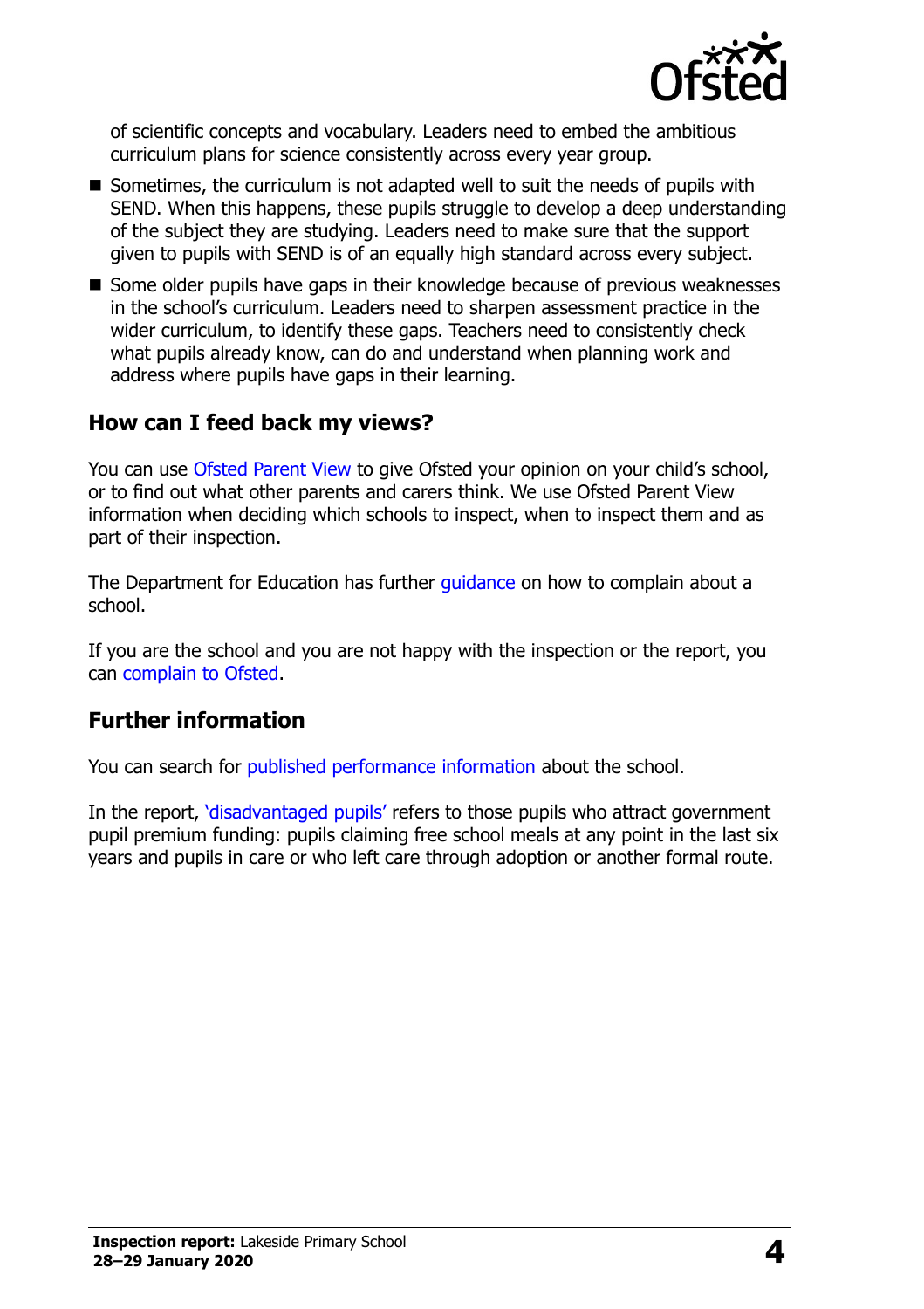

of scientific concepts and vocabulary. Leaders need to embed the ambitious curriculum plans for science consistently across every year group.

- Sometimes, the curriculum is not adapted well to suit the needs of pupils with SEND. When this happens, these pupils struggle to develop a deep understanding of the subject they are studying. Leaders need to make sure that the support given to pupils with SEND is of an equally high standard across every subject.
- Some older pupils have gaps in their knowledge because of previous weaknesses in the school's curriculum. Leaders need to sharpen assessment practice in the wider curriculum, to identify these gaps. Teachers need to consistently check what pupils already know, can do and understand when planning work and address where pupils have gaps in their learning.

#### **How can I feed back my views?**

You can use [Ofsted Parent View](http://parentview.ofsted.gov.uk/) to give Ofsted your opinion on your child's school, or to find out what other parents and carers think. We use Ofsted Parent View information when deciding which schools to inspect, when to inspect them and as part of their inspection.

The Department for Education has further quidance on how to complain about a school.

If you are the school and you are not happy with the inspection or the report, you can [complain to Ofsted.](http://www.gov.uk/complain-ofsted-report)

### **Further information**

You can search for [published performance information](http://www.compare-school-performance.service.gov.uk/) about the school.

In the report, '[disadvantaged pupils](http://www.gov.uk/guidance/pupil-premium-information-for-schools-and-alternative-provision-settings)' refers to those pupils who attract government pupil premium funding: pupils claiming free school meals at any point in the last six years and pupils in care or who left care through adoption or another formal route.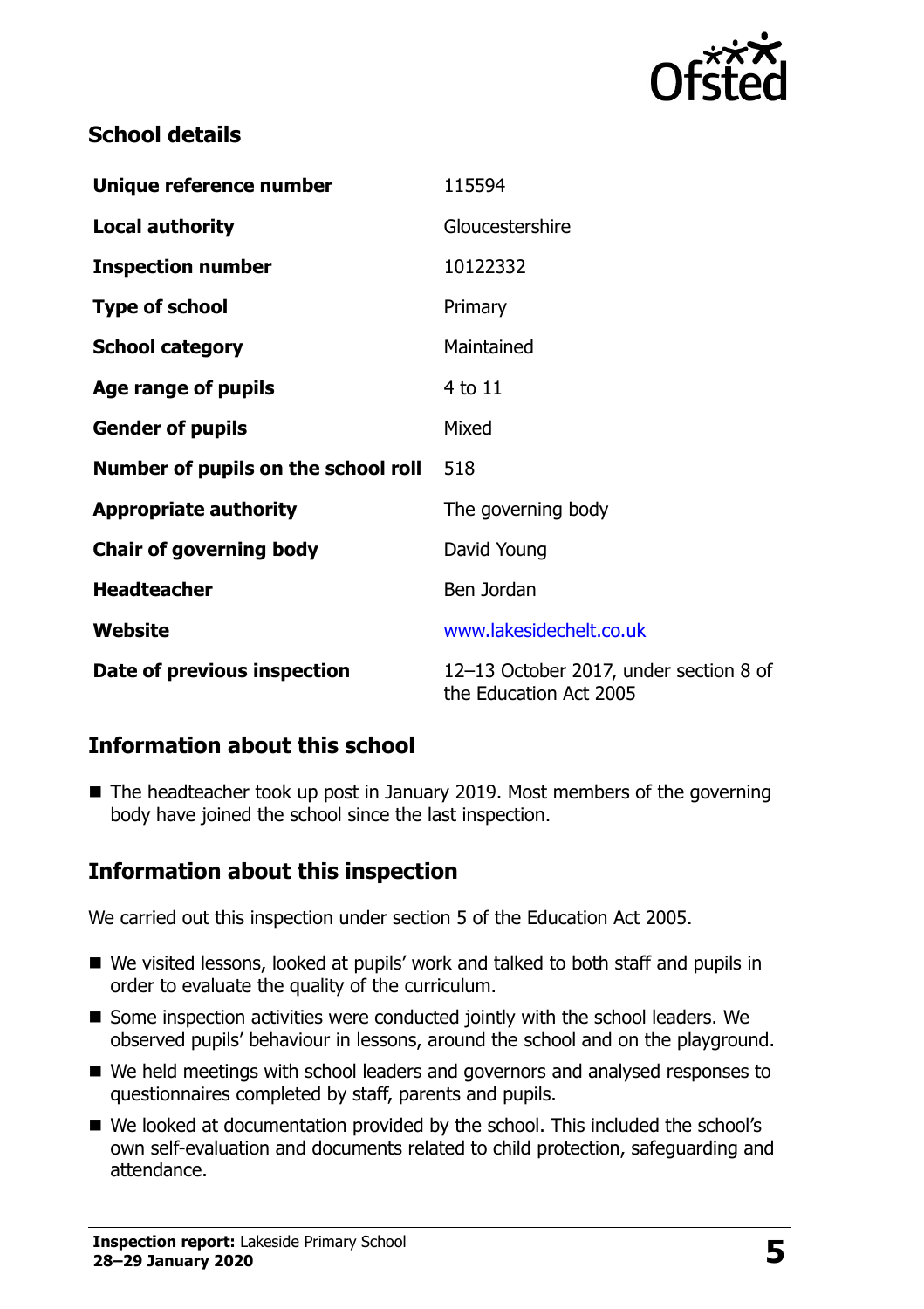

## **School details**

| Unique reference number             | 115594                                                           |
|-------------------------------------|------------------------------------------------------------------|
| <b>Local authority</b>              | Gloucestershire                                                  |
| <b>Inspection number</b>            | 10122332                                                         |
| <b>Type of school</b>               | Primary                                                          |
| <b>School category</b>              | Maintained                                                       |
| Age range of pupils                 | 4 to 11                                                          |
| <b>Gender of pupils</b>             | Mixed                                                            |
| Number of pupils on the school roll | 518                                                              |
| <b>Appropriate authority</b>        | The governing body                                               |
| <b>Chair of governing body</b>      | David Young                                                      |
| <b>Headteacher</b>                  | Ben Jordan                                                       |
| Website                             | www.lakesidechelt.co.uk                                          |
| Date of previous inspection         | 12-13 October 2017, under section 8 of<br>the Education Act 2005 |

## **Information about this school**

■ The headteacher took up post in January 2019. Most members of the governing body have joined the school since the last inspection.

## **Information about this inspection**

We carried out this inspection under section 5 of the Education Act 2005.

- We visited lessons, looked at pupils' work and talked to both staff and pupils in order to evaluate the quality of the curriculum.
- Some inspection activities were conducted jointly with the school leaders. We observed pupils' behaviour in lessons, around the school and on the playground.
- We held meetings with school leaders and governors and analysed responses to questionnaires completed by staff, parents and pupils.
- We looked at documentation provided by the school. This included the school's own self-evaluation and documents related to child protection, safeguarding and attendance.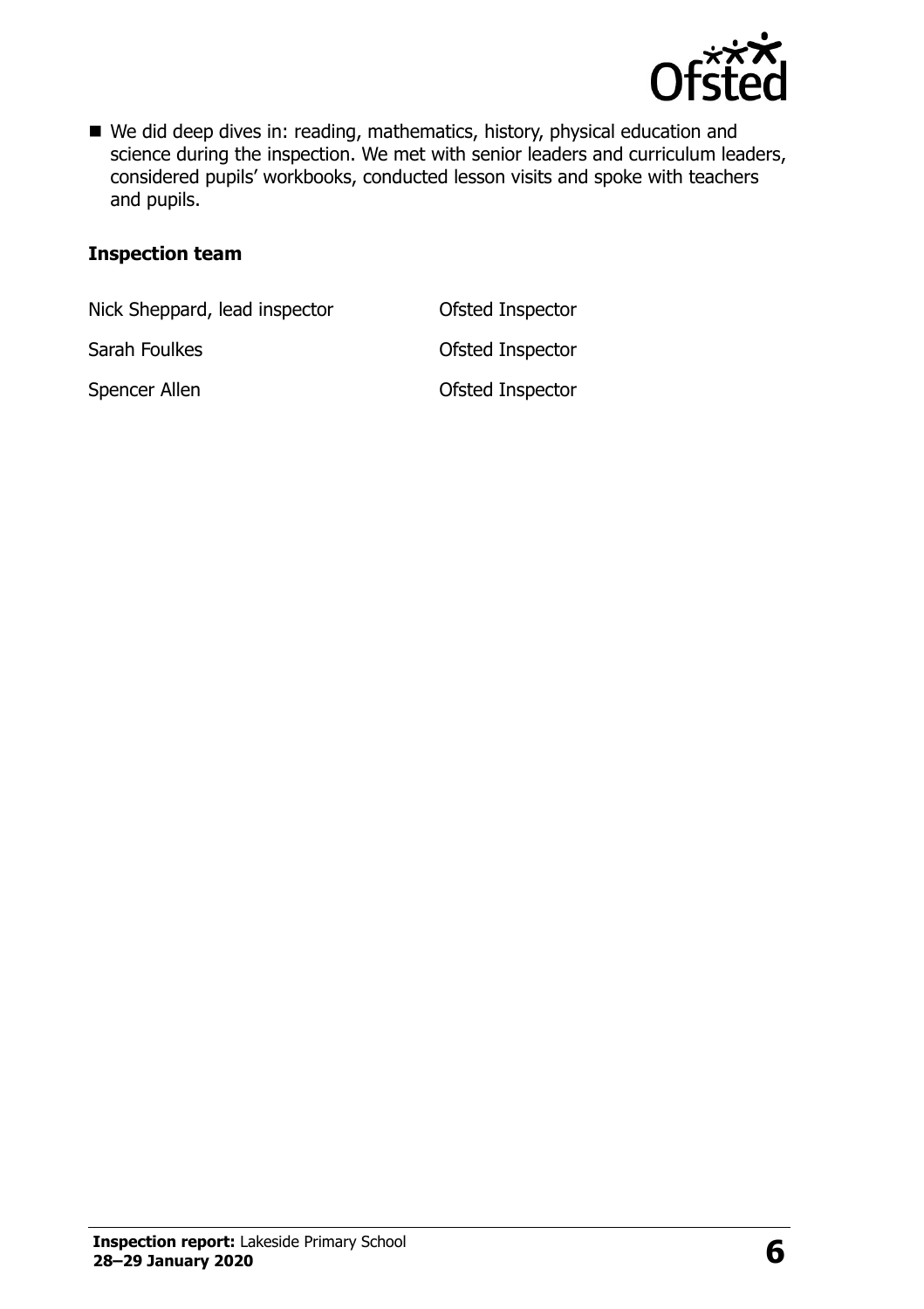

■ We did deep dives in: reading, mathematics, history, physical education and science during the inspection. We met with senior leaders and curriculum leaders, considered pupils' workbooks, conducted lesson visits and spoke with teachers and pupils.

#### **Inspection team**

Nick Sheppard, lead inspector **Ofsted Inspector** 

Sarah Foulkes **Calculates** Ofsted Inspector

Spencer Allen **Contract Contract Contract Contract Contract Contract Contract Contract Contract Contract Contract Contract Contract Contract Contract Contract Contract Contract Contract Contract Contract Contract Contract**